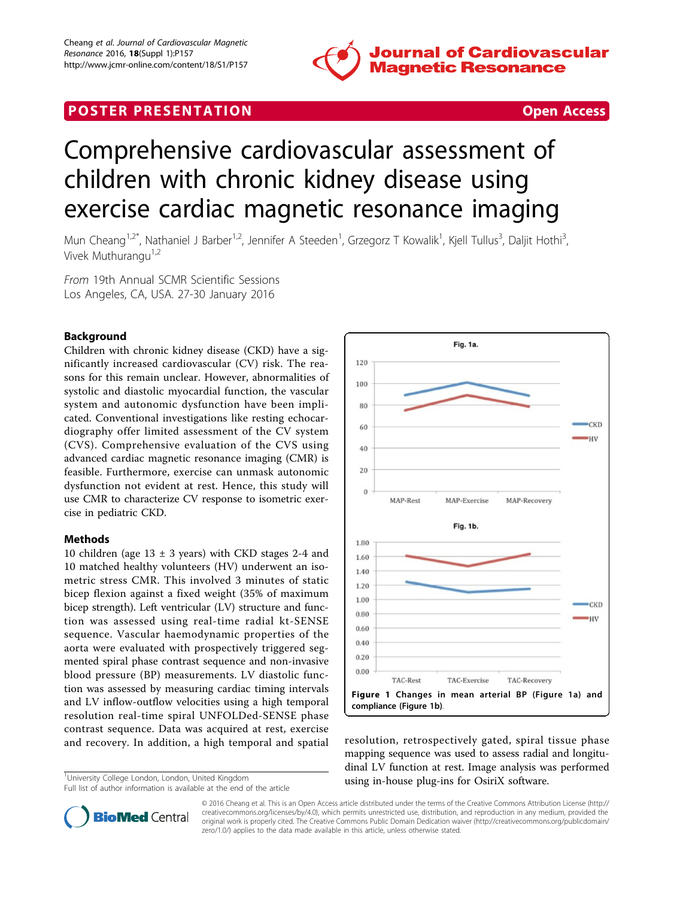

## **POSTER PRESENTATION CONSUMING THE SECOND CONSUMING THE SECOND CONSUMING THE SECOND CONSUMING THE SECOND CONSUMING THE SECOND CONSUMING THE SECOND CONSUMING THE SECOND CONSUMING THE SECOND CONSUMING THE SECOND CONSUMING**

# Comprehensive cardiovascular assessment of children with chronic kidney disease using exercise cardiac magnetic resonance imaging

Mun Cheang<sup>1,2\*</sup>, Nathaniel J Barber<sup>1,2</sup>, Jennifer A Steeden<sup>1</sup>, Grzegorz T Kowalik<sup>1</sup>, Kjell Tullus<sup>3</sup>, Daljit Hothi<sup>3</sup> , Vivek Muthurangu<sup>1,2</sup>

From 19th Annual SCMR Scientific Sessions Los Angeles, CA, USA. 27-30 January 2016

### Background

Children with chronic kidney disease (CKD) have a significantly increased cardiovascular (CV) risk. The reasons for this remain unclear. However, abnormalities of systolic and diastolic myocardial function, the vascular system and autonomic dysfunction have been implicated. Conventional investigations like resting echocardiography offer limited assessment of the CV system (CVS). Comprehensive evaluation of the CVS using advanced cardiac magnetic resonance imaging (CMR) is feasible. Furthermore, exercise can unmask autonomic dysfunction not evident at rest. Hence, this study will use CMR to characterize CV response to isometric exercise in pediatric CKD.

#### Methods

10 children (age  $13 \pm 3$  years) with CKD stages 2-4 and 10 matched healthy volunteers (HV) underwent an isometric stress CMR. This involved 3 minutes of static bicep flexion against a fixed weight (35% of maximum bicep strength). Left ventricular (LV) structure and function was assessed using real-time radial kt-SENSE sequence. Vascular haemodynamic properties of the aorta were evaluated with prospectively triggered segmented spiral phase contrast sequence and non-invasive blood pressure (BP) measurements. LV diastolic function was assessed by measuring cardiac timing intervals and LV inflow-outflow velocities using a high temporal resolution real-time spiral UNFOLDed-SENSE phase contrast sequence. Data was acquired at rest, exercise and recovery. In addition, a high temporal and spatial resolution, retrospectively gated, spiral tissue phase

<sup>1</sup>University College London, London, United Kingdom



mapping sequence was used to assess radial and longitudinal LV function at rest. Image analysis was performed using in-house plug-ins for OsiriX software. <sup>1</sup>



© 2016 Cheang et al. This is an Open Access article distributed under the terms of the Creative Commons Attribution License [\(http://](http://creativecommons.org/licenses/by/4.0) [creativecommons.org/licenses/by/4.0](http://creativecommons.org/licenses/by/4.0)), which permits unrestricted use, distribution, and reproduction in any medium, provided the original work is properly cited. The Creative Commons Public Domain Dedication waiver ([http://creativecommons.org/publicdomain/](http://creativecommons.org/publicdomain/zero/1.0/) [zero/1.0/](http://creativecommons.org/publicdomain/zero/1.0/)) applies to the data made available in this article, unless otherwise stated.

Full list of author information is available at the end of the article